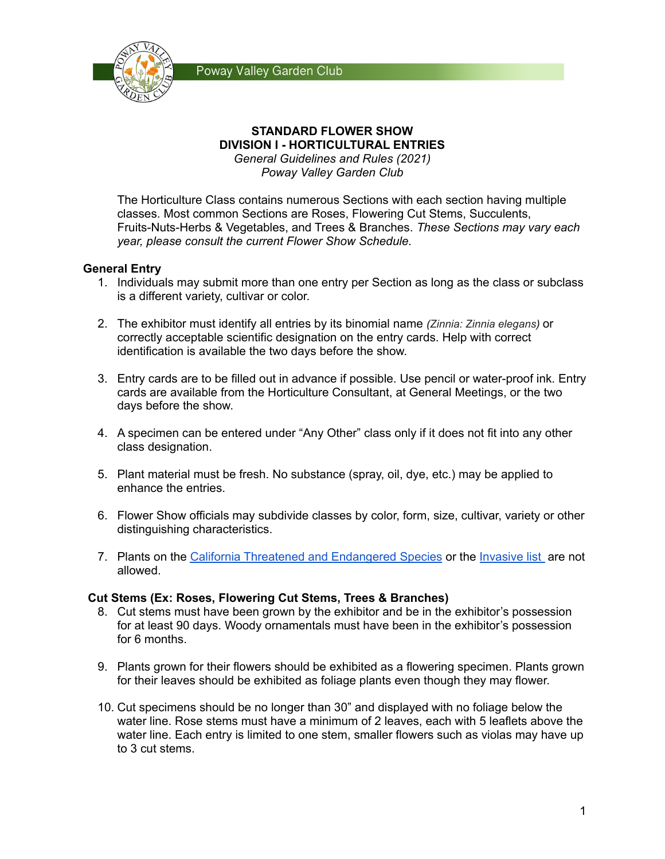



#### **STANDARD FLOWER SHOW DIVISION I - HORTICULTURAL ENTRIES** *General Guidelines and Rules (2021)*

*Poway Valley Garden Club*

The Horticulture Class contains numerous Sections with each section having multiple classes. Most common Sections are Roses, Flowering Cut Stems, Succulents, Fruits-Nuts-Herbs & Vegetables, and Trees & Branches. *These Sections may vary each year, please consult the current Flower Show Schedule.*

# **General Entry**

- 1. Individuals may submit more than one entry per Section as long as the class or subclass is a different variety, cultivar or color.
- 2. The exhibitor must identify all entries by its binomial name *(Zinnia: Zinnia elegans)* or correctly acceptable scientific designation on the entry cards. Help with correct identification is available the two days before the show.
- 3. Entry cards are to be filled out in advance if possible. Use pencil or water-proof ink. Entry cards are available from the Horticulture Consultant, at General Meetings, or the two days before the show.
- 4. A specimen can be entered under "Any Other" class only if it does not fit into any other class designation.
- 5. Plant material must be fresh. No substance (spray, oil, dye, etc.) may be applied to enhance the entries.
- 6. Flower Show officials may subdivide classes by color, form, size, cultivar, variety or other distinguishing characteristics.
- 7. Plants on the California Threatened and [Endangered](https://wildlife.ca.gov/Conservation/Plants/Endangered) Species or the [Invasive](https://www.cal-ipc.org/plants/profiles) list are not allowed.

## **Cut Stems (Ex: Roses, Flowering Cut Stems, Trees & Branches)**

- 8. Cut stems must have been grown by the exhibitor and be in the exhibitor's possession for at least 90 days. Woody ornamentals must have been in the exhibitor's possession for 6 months.
- 9. Plants grown for their flowers should be exhibited as a flowering specimen. Plants grown for their leaves should be exhibited as foliage plants even though they may flower.
- 10. Cut specimens should be no longer than 30" and displayed with no foliage below the water line. Rose stems must have a minimum of 2 leaves, each with 5 leaflets above the water line. Each entry is limited to one stem, smaller flowers such as violas may have up to 3 cut stems.